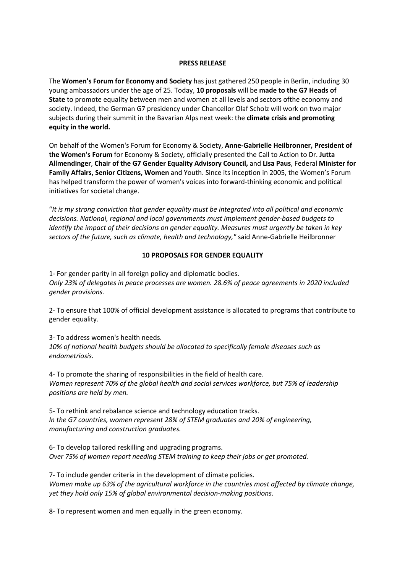## **PRESS RELEASE**

The **Women's Forum for Economy and Society** has just gathered 250 people in Berlin, including 30 young ambassadors under the age of 25. Today, **10 proposals** will be **made to the G7 Heads of State** to promote equality between men and women at all levels and sectors ofthe economy and society. Indeed, the German G7 presidency under Chancellor Olaf Scholz will work on two major subjects during their summit in the Bavarian Alps next week: the **climate crisis and promoting equity in the world.**

On behalf of the Women's Forum for Economy & Society, **Anne-Gabrielle Heilbronner, President of the Women's Forum** for Economy & Society, officially presented the Call to Action to Dr. **Jutta Allmendinger**, **Chair of the G7 Gender Equality Advisory Council,** and **Lisa Paus**, Federal **Minister for Family Affairs, Senior Citizens, Women** and Youth. Since its inception in 2005, the Women's Forum has helped transform the power of women's voices into forward-thinking economic and political initiatives for societal change.

"*It is my strong conviction that gender equality must be integrated into all political and economic decisions. National, regional and local governments must implement gender-based budgets to identify the impact of their decisions on gender equality. Measures must urgently be taken in key sectors of the future, such as climate, health and technology,"* said Anne-Gabrielle Heilbronner

## **10 PROPOSALS FOR GENDER EQUALITY**

1- For gender parity in all foreign policy and diplomatic bodies. *Only 23% of delegates in peace processes are women. 28.6% of peace agreements in 2020 included gender provisions.*

2- To ensure that 100% of official development assistance is allocated to programs that contribute to gender equality.

3- To address women's health needs. *10% of national health budgets should be allocated to specifically female diseases such as endometriosis.*

4- To promote the sharing of responsibilities in the field of health care. *Women represent 70% of the global health and social services workforce, but 75% of leadership positions are held by men.*

5- To rethink and rebalance science and technology education tracks. *In the G7 countries, women represent 28% of STEM graduates and 20% of engineering, manufacturing and construction graduates.*

6- To develop tailored reskilling and upgrading programs. *Over 75% of women report needing STEM training to keep their jobs or get promoted.*

7- To include gender criteria in the development of climate policies. *Women make up 63% of the agricultural workforce in the countries most affected by climate change, yet they hold only 15% of global environmental decision-making positions*.

8- To represent women and men equally in the green economy.